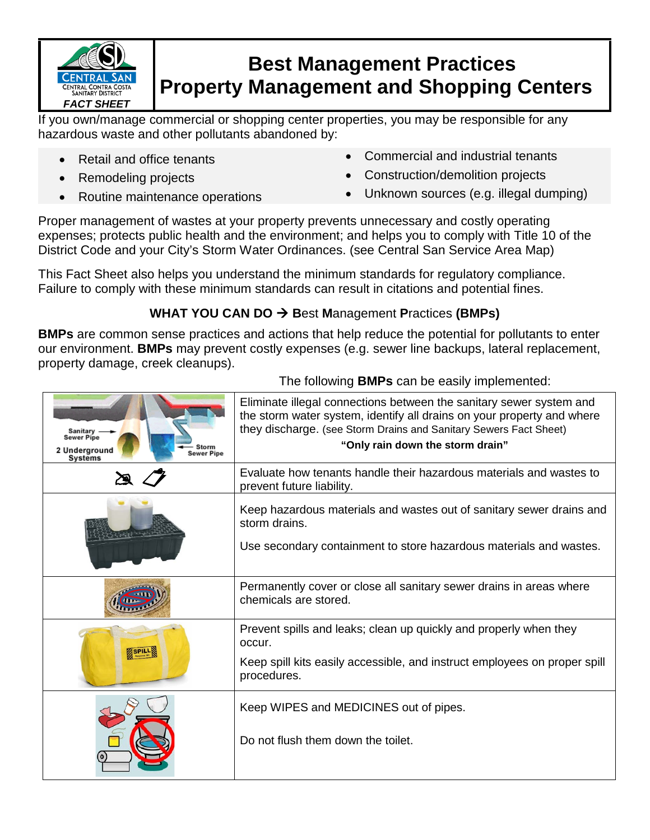

## **Best Management Practices Property Management and Shopping Centers**

If you own/manage commercial or shopping center properties, you may be responsible for any hazardous waste and other pollutants abandoned by:

- 
- 
- 
- Retail and office tenants Commercial and industrial tenants
- Remodeling projects  **Construction/demolition projects**

The following **BMPs** can be easily implemented:

• Routine maintenance operations • Unknown sources (e.g. illegal dumping)

Proper management of wastes at your property prevents unnecessary and costly operating expenses; protects public health and the environment; and helps you to comply with Title 10 of the District Code and your City's Storm Water Ordinances. (see Central San Service Area Map)

This Fact Sheet also helps you understand the minimum standards for regulatory compliance. Failure to comply with these minimum standards can result in citations and potential fines.

## **WHAT YOU CAN DO → Best Management Practices (BMPs)**

**BMPs** are common sense practices and actions that help reduce the potential for pollutants to enter our environment. **BMPs** may prevent costly expenses (e.g. sewer line backups, lateral replacement, property damage, creek cleanups).

| Sanitary<br><b>Sewer Pipe</b><br>Storm<br>2 Underground<br><b>Sewer Pipe</b><br>Systems | Eliminate illegal connections between the sanitary sewer system and<br>the storm water system, identify all drains on your property and where<br>they discharge. (see Storm Drains and Sanitary Sewers Fact Sheet)<br>"Only rain down the storm drain" |
|-----------------------------------------------------------------------------------------|--------------------------------------------------------------------------------------------------------------------------------------------------------------------------------------------------------------------------------------------------------|
|                                                                                         | Evaluate how tenants handle their hazardous materials and wastes to<br>prevent future liability.                                                                                                                                                       |
|                                                                                         | Keep hazardous materials and wastes out of sanitary sewer drains and<br>storm drains.<br>Use secondary containment to store hazardous materials and wastes.                                                                                            |
|                                                                                         | Permanently cover or close all sanitary sewer drains in areas where<br>chemicals are stored.                                                                                                                                                           |
|                                                                                         | Prevent spills and leaks; clean up quickly and properly when they<br>occur.<br>Keep spill kits easily accessible, and instruct employees on proper spill<br>procedures.                                                                                |
|                                                                                         | Keep WIPES and MEDICINES out of pipes.<br>Do not flush them down the toilet.                                                                                                                                                                           |